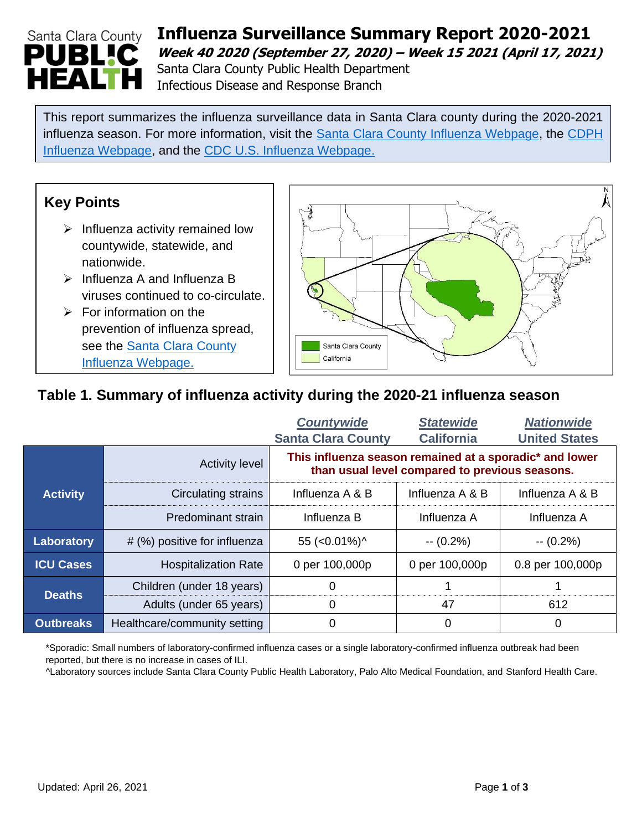# Santa Clara County **PUBL!C** HEAI

# **Influenza Surveillance Summary Report 2020-2021 Week 40 2020 (September 27, 2020) – Week 15 2021 (April 17, 2021)** Santa Clara County Public Health Department

Infectious Disease and Response Branch

This report summarizes the influenza surveillance data in Santa Clara county during the 2020-2021 influenza season. For more information, visit the [Santa Clara County Influenza Webpage,](https://www.sccgov.org/sites/phd/diseaseinformation/influenza/pages/flu-home.aspx) the [CDPH](https://www.cdph.ca.gov/Programs/CID/DCDC/Pages/Immunization/Influenza.aspx)  [Influenza Webpage,](https://www.cdph.ca.gov/Programs/CID/DCDC/Pages/Immunization/Influenza.aspx) and the [CDC U.S. Influenza Webpage.](https://www.cdc.gov/flu/weekly/)

## **Key Points**

- $\triangleright$  Influenza activity remained low countywide, statewide, and nationwide.
- ➢ Influenza A and Influenza B viruses continued to co-circulate.
- $\triangleright$  For information on the prevention of influenza spread, see the **Santa Clara County** Influenza [Webpage.](https://www.sccgov.org/sites/phd/diseaseinformation/influenza/pages/flu-home.aspx)



## **Table 1. Summary of influenza activity during the 2020-21 influenza season**

|                  |                              | <b>Countywide</b>                                                                                         | <b>Statewide</b>  | <b>Nationwide</b>    |  |  |
|------------------|------------------------------|-----------------------------------------------------------------------------------------------------------|-------------------|----------------------|--|--|
|                  |                              | <b>Santa Clara County</b>                                                                                 | <b>California</b> | <b>United States</b> |  |  |
|                  | <b>Activity level</b>        | This influenza season remained at a sporadic* and lower<br>than usual level compared to previous seasons. |                   |                      |  |  |
| <b>Activity</b>  | Circulating strains          | Influenza A & B                                                                                           | Influenza A & B   | Influenza A & B      |  |  |
|                  | Predominant strain           | Influenza B                                                                                               | Influenza A       | Influenza A          |  |  |
| Laboratory       | # (%) positive for influenza | 55 ( $<$ 0.01%) $\land$                                                                                   | $-(0.2\%)$        | $-(0.2\%)$           |  |  |
| <b>ICU Cases</b> | <b>Hospitalization Rate</b>  | 0 per 100,000p                                                                                            | 0 per 100,000p    | 0.8 per 100,000p     |  |  |
| <b>Deaths</b>    | Children (under 18 years)    | 0                                                                                                         |                   |                      |  |  |
|                  | Adults (under 65 years)      | 0                                                                                                         | 47                | 612                  |  |  |
| <b>Outbreaks</b> | Healthcare/community setting | 0                                                                                                         | 0                 | 0                    |  |  |

\*Sporadic: Small numbers of laboratory-confirmed influenza cases or a single laboratory-confirmed influenza outbreak had been reported, but there is no increase in cases of ILI.

^Laboratory sources include Santa Clara County Public Health Laboratory, Palo Alto Medical Foundation, and Stanford Health Care.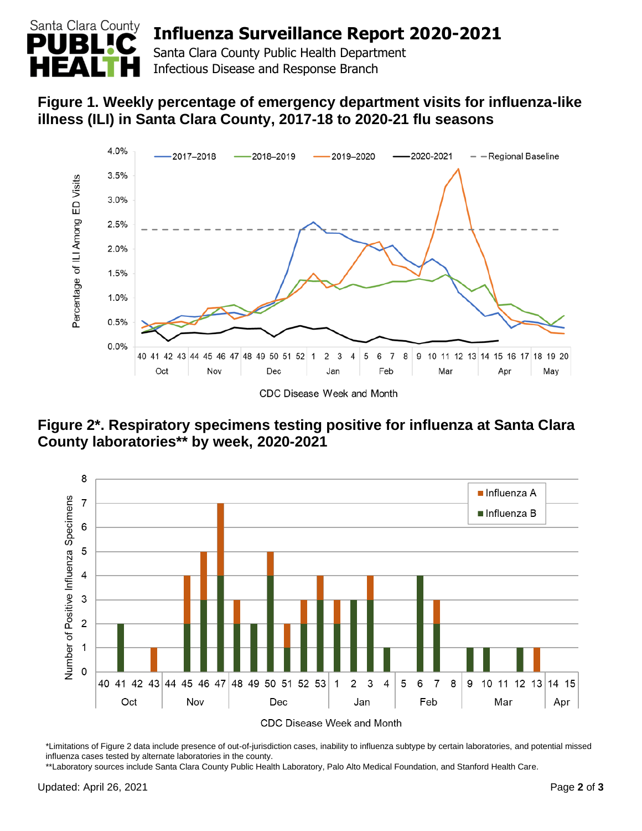

## **Influenza Surveillance Report 2020-2021**

Santa Clara County Public Health Department Infectious Disease and Response Branch

## **Figure 1. Weekly percentage of emergency department visits for influenza-like illness (ILI) in Santa Clara County, 2017-18 to 2020-21 flu seasons**



**Figure 2\*. Respiratory specimens testing positive for influenza at Santa Clara County laboratories\*\* by week, 2020-2021**



\*Limitations of Figure 2 data include presence of out-of-jurisdiction cases, inability to influenza subtype by certain laboratories, and potential missed influenza cases tested by alternate laboratories in the county.

\*\*Laboratory sources include Santa Clara County Public Health Laboratory, Palo Alto Medical Foundation, and Stanford Health Care.